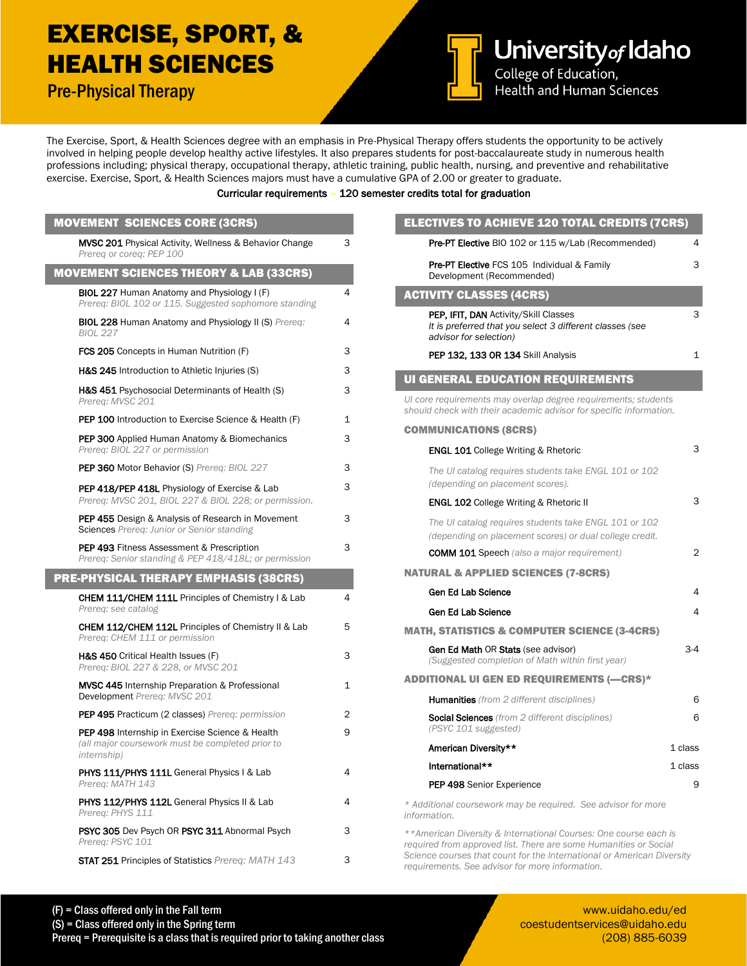## EXERCISE, SPORT, & HEALTH SCIENCES

Pre-Physical Therapy



University of Idaho

Health and Human Sciences

The Exercise, Sport, & Health Sciences degree with an emphasis in Pre-Physical Therapy offers students the opportunity to be actively involved in helping people develop healthy active lifestyles. It also prepares students for post-baccalaureate study in numerous health professions including; physical therapy, occupational therapy, athletic training, public health, nursing, and preventive and rehabilitative exercise. Exercise, Sport, & Health Sciences majors must have a cumulative GPA of 2.00 or greater to graduate.

## Curricular requirements – 120 semester credits total for graduation

| <b>MOVEMENT SCIENCES CORE (3CRS)</b>                                                                                      |   |
|---------------------------------------------------------------------------------------------------------------------------|---|
| <b>MVSC 201</b> Physical Activity, Wellness & Behavior Change<br>Prerea or corea: PEP 100                                 | 3 |
| <b>MOVEMENT SCIENCES THEORY &amp; LAB (33CRS)</b>                                                                         |   |
| BIOL 227 Human Anatomy and Physiology I (F)<br>Prereg: BIOL 102 or 115. Suggested sophomore standing                      | 4 |
| <b>BIOL 228 Human Anatomy and Physiology II (S) Prereq:</b><br><b>BIOL 227</b>                                            | 4 |
| <b>FCS 205</b> Concepts in Human Nutrition (F)                                                                            | 3 |
| H&S 245 Introduction to Athletic Injuries (S)                                                                             | 3 |
| <b>H&amp;S 451</b> Psychosocial Determinants of Health (S)<br>Prereq: MVSC 201                                            | 3 |
| <b>PEP 100</b> Introduction to Exercise Science & Health (F)                                                              | 1 |
| <b>PEP 300</b> Applied Human Anatomy & Biomechanics<br>Prereg: BIOL 227 or permission                                     | 3 |
| <b>PEP 360 Motor Behavior (S) Prereg: BIOL 227</b>                                                                        | 3 |
| <b>PEP 418/PEP 418L</b> Physiology of Exercise & Lab<br>Prereq: MVSC 201, BIOL 227 & BIOL 228; or permission.             | 3 |
| <b>PEP 455</b> Design & Analysis of Research in Movement<br><b>Sciences</b> Prereq: Junior or Senior standing             | 3 |
| <b>PEP 493</b> Fitness Assessment & Prescription<br>Prereq: Senior standing & PEP 418/418L; or permission                 | 3 |
| <b>PRE-PHYSICAL THERAPY EMPHASIS (38CRS)</b>                                                                              |   |
|                                                                                                                           |   |
| <b>CHEM 111/CHEM 111L Principles of Chemistry I &amp; Lab</b><br>Prereg: see catalog                                      | 4 |
| <b>CHEM 112/CHEM 112L</b> Principles of Chemistry II & Lab<br>Prereg: CHEM 111 or permission                              | 5 |
| H&S 450 Critical Health Issues (F)<br>Prereg: BIOL 227 & 228, or MVSC 201                                                 | 3 |
| <b>MVSC 445</b> Internship Preparation & Professional<br>Development Prereg: MVSC 201                                     | 1 |
| <b>PEP 495 Practicum (2 classes)</b> Prereq: permission                                                                   | 2 |
| <b>PEP 498</b> Internship in Exercise Science & Health<br>(all major coursework must be completed prior to<br>internship) | 9 |
| <b>PHYS 111/PHYS 111L</b> General Physics I & Lab<br>Prereg: MATH 143                                                     | 4 |
| <b>PHYS 112/PHYS 112L</b> General Physics II & Lab<br>Prereg: PHYS 111                                                    | 4 |
| PSYC 305 Dev Psych OR PSYC 311 Abnormal Psych<br>Prereq: PSYC 101                                                         | З |

| <b>ELECTIVES TO ACHIEVE 120 TOTAL CREDITS (7CRS)</b>                                                                                 |              |
|--------------------------------------------------------------------------------------------------------------------------------------|--------------|
| Pre-PT Elective BIO 102 or 115 w/Lab (Recommended)                                                                                   | 4            |
| Pre-PT Elective FCS 105 Individual & Family<br>Development (Recommended)                                                             | 3            |
| <b>ACTIVITY CLASSES (4CRS)</b>                                                                                                       |              |
| <b>PEP, IFIT, DAN</b> Activity/Skill Classes<br>It is preferred that you select 3 different classes (see<br>advisor for selection)   | 3            |
| PEP 132, 133 OR 134 Skill Analysis                                                                                                   | $\mathbf{1}$ |
| <b>UI GENERAL EDUCATION REQUIREMENTS</b>                                                                                             |              |
| UI core requirements may overlap degree requirements; students<br>should check with their academic advisor for specific information. |              |
| <b>COMMUNICATIONS (8CRS)</b>                                                                                                         |              |
| <b>ENGL 101</b> College Writing & Rhetoric                                                                                           | 3            |
| The UI catalog requires students take ENGL 101 or 102<br>(depending on placement scores).                                            |              |
| <b>ENGL 102 College Writing &amp; Rhetoric II</b>                                                                                    | 3            |
| The UI catalog requires students take ENGL 101 or 102<br>(depending on placement scores) or dual college credit.                     |              |
| <b>COMM 101 Speech</b> (also a major requirement)                                                                                    | 2            |
| <b>NATURAL &amp; APPLIED SCIENCES (7-8CRS)</b>                                                                                       |              |
| Gen Ed Lab Science                                                                                                                   | 4            |
| Gen Ed Lab Science                                                                                                                   | 4            |
| <b>MATH, STATISTICS &amp; COMPUTER SCIENCE (3-4CRS)</b>                                                                              |              |
| <b>Gen Ed Math OR Stats (see advisor)</b><br>(Suggested completion of Math within first year)                                        | 3-4          |
| <b>ADDITIONAL UI GEN ED REQUIREMENTS (-CRS)*</b>                                                                                     |              |
| <b>Humanities</b> (from 2 different disciplines)                                                                                     | 6            |
| <b>Social Sciences</b> (from 2 different disciplines)<br>(PSYC 101 suggested)                                                        | 6            |
| American Diversity**                                                                                                                 | 1 class      |
| International**                                                                                                                      | 1 class      |
| PEP 498 Senior Experience                                                                                                            | 9            |
| * Additional coursework may be required. See advisor for more<br>information.                                                        |              |

*\*\*American Diversity & International Courses: One course each is required from approved list. There are some Humanities or Social Science courses that count for the International or American Diversity requirements. See advisor for more information.*